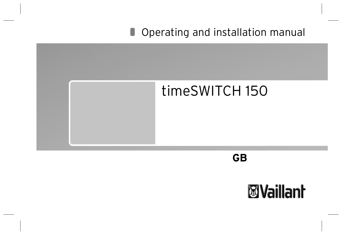# **Operating and installation manual**



**GB, IE, ES, PT**

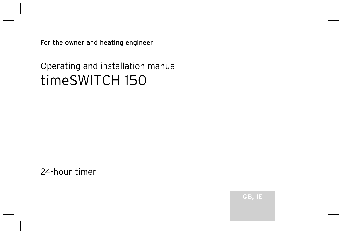For the owner and heating engineer

# Operating and installation manual timeSWITCH 150

24-hour timer

GB, IE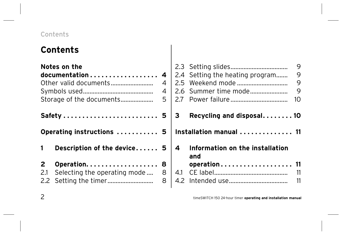### Contents

# **Contents**

|              | Notes on the                                  |        |  |
|--------------|-----------------------------------------------|--------|--|
|              | documentation                                 | 4      |  |
|              | Other valid documents                         | 4      |  |
|              |                                               | 4      |  |
|              | Storage of the documents                      |        |  |
|              |                                               |        |  |
|              | Safety  5                                     |        |  |
|              | Operating instructions  5                     |        |  |
| $\mathbf{1}$ | Description of the device 5                   |        |  |
| $\mathbf{2}$ | Operation<br>2.1 Selecting the operating mode | 8<br>8 |  |

| 27                      | 2.4 Setting the heating program<br>2.6 Summer time mode | 9<br>9<br>9<br>9<br>10 |  |  |  |
|-------------------------|---------------------------------------------------------|------------------------|--|--|--|
| з                       | Recycling and disposal10                                |                        |  |  |  |
| Installation manual  11 |                                                         |                        |  |  |  |
| 4                       | Information on the installation<br>and<br>operation 11  |                        |  |  |  |
| 4.1                     |                                                         |                        |  |  |  |
|                         |                                                         | 11                     |  |  |  |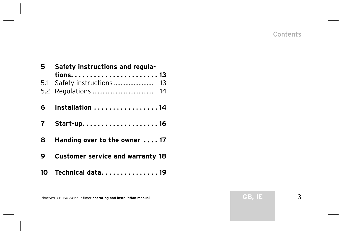| 5. | Safety instructions and regula-         |  |  |
|----|-----------------------------------------|--|--|
|    | 5.1 Safety instructions<br>13<br>14     |  |  |
|    | 6 Installation  14                      |  |  |
|    |                                         |  |  |
| 8  | Handing over to the owner  17           |  |  |
|    | <b>Customer service and warranty 18</b> |  |  |
| 10 | Technical data. 19                      |  |  |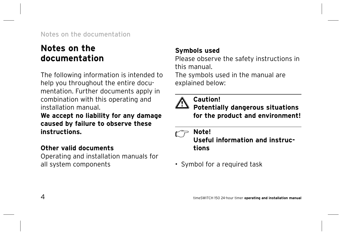## **Notes on the documentation**

The following information is intended to help you throughout the entire documentation. Further documents apply in combination with this operating and installation manual.

**We accept no liability for any damage caused by failure to observe these instructions.**

### **Other valid documents**

Operating and installation manuals for all system components

### **Symbols used**

Please observe the safety instructions in this manual.

The symbols used in the manual are explained below:



## **Caution!**

**Potentially dangerous situations for the product and environment!**

### **Note!**

**Useful information and instructions**

• Symbol for a required task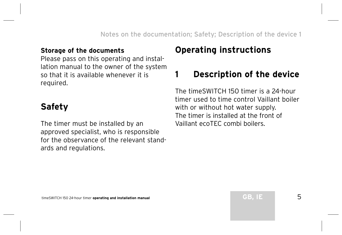#### **Storage of the documents**

Please pass on this operating and installation manual to the owner of the system so that it is available whenever it is required.

# **Safety**

The timer must be installed by an approved specialist, who is responsible for the observance of the relevant standards and regulations.

# **Operating instructions**

# **1 Description of the device**

The timeSWITCH 150 timer is a 24-hour timer used to time control Vaillant boiler with or without hot water supply. The timer is installed at the front of Vaillant ecoTEC combi boilers.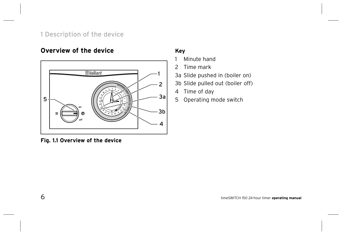#### 1 Description of the device

#### **Overview of the device**



#### **Fig. 1.1 Overview of the device**

#### **Key**

- 1 Minute hand
- 2 Time mark
- 3a Slide pushed in (boiler on)
- 3b Slide pulled out (boiler off)
- 4 Time of day
- 5 Operating mode switch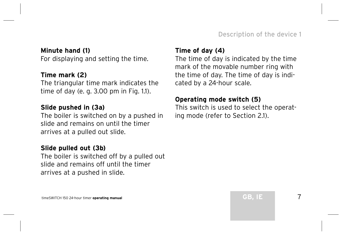#### **Minute hand (1)**

For displaying and setting the time.

#### **Time mark (2)**

The triangular time mark indicates the time of day (e. g. 3.00 pm in Fig. 1.1).

#### **Slide pushed in (3a)**

The boiler is switched on by a pushed in slide and remains on until the timer arrives at a pulled out slide.

#### **Slide pulled out (3b)**

The boiler is switched off by a pulled out slide and remains off until the timer arrives at a pushed in slide.

#### **Time of day (4)**

The time of day is indicated by the time mark of the movable number ring with the time of day. The time of day is indicated by a 24-hour scale.

#### **Operating mode switch (5)**

This switch is used to select the operating mode (refer to Section 2.1).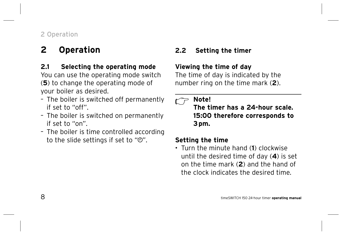# **2 Operation**

#### **2.1 Selecting the operating mode**

You can use the operating mode switch (**5**) to change the operating mode of your boiler as desired.

- The boiler is switched off permanently if set to "off".
- The boiler is switched on permanently if set to "on".
- The boiler is time controlled according to the slide settings if set to " $\mathcal{O}$ ".

### **2.2 Setting the timer**

#### **Viewing the time of day**

The time of day is indicated by the number ring on the time mark (**2**).

#### **Note!** س س

**The timer has a 24-hour scale. 15:00 therefore corresponds to 3 pm.**

#### **Setting the time**

• Turn the minute hand (**1**) clockwise until the desired time of day (**4**) is set on the time mark (**2**) and the hand of the clock indicates the desired time.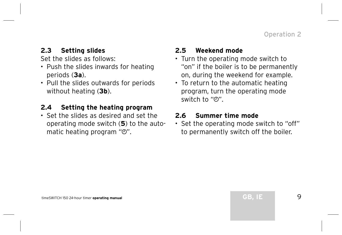#### **2.3 Setting slides**

Set the slides as follows:

- Push the slides inwards for heating periods (**3a**).
- Pull the slides outwards for periods without heating (**3b**).

#### **2.4 Setting the heating program**

• Set the slides as desired and set the operating mode switch (**5**) to the automatic heating program  $" $\mathcal{O}"$ .$ 

#### **2.5 Weekend mode**

- Turn the operating mode switch to "on" if the boiler is to be permanently on, during the weekend for example.
- To return to the automatic heating program, turn the operating mode switch to " $\mathcal{O}$ ".

#### **2.6 Summer time mode**

• Set the operating mode switch to "off" to permanently switch off the boiler.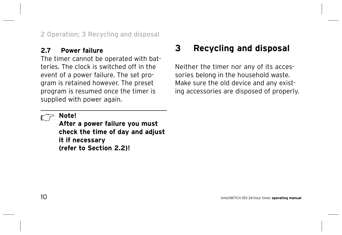#### **2.7 Power failure**

The timer cannot be operated with batteries. The clock is switched off in the event of a power failure. The set program is retained however. The preset program is resumed once the timer is supplied with power again.

# **3 Recycling and disposal**

Neither the timer nor any of its accessories belong in the household waste. Make sure the old device and any existing accessories are disposed of properly.

### **Note!**

**After a power failure you must check the time of day and adjust it if necessary (refer to Section 2.2)!**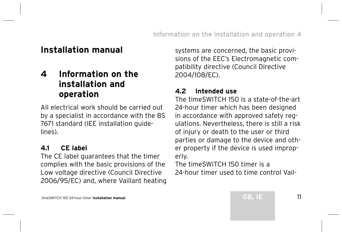### **Installation manual**

### **4 Information on the installation and operation**

All electrical work should be carried out by a specialist in accordance with the BS 7671 standard (IEE installation guidelines).

#### **4.1 CE label**

The CE label guarantees that the timer complies with the basic provisions of the Low voltage directive (Council Directive 2006/95/EC) and, where Vaillant heating systems are concerned, the basic provisions of the EEC's Electromagnetic compatibility directive (Council Directive 2004/108/EC).

#### **4.2 Intended use**

The timeSWITCH 150 is a state-of-the-art 24-hour timer which has been designed in accordance with approved safety regulations. Nevertheless, there is still a risk of injury or death to the user or third parties or damage to the device and other property if the device is used improperly.

The timeSWITCH 150 timer is a 24-hour timer used to time control Vail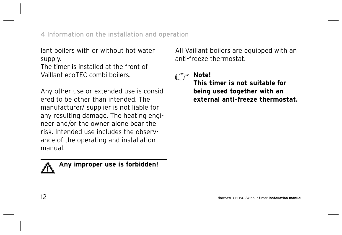lant boilers with or without hot water supply.

The timer is installed at the front of Vaillant ecoTEC combi boilers.

Any other use or extended use is considered to be other than intended. The manufacturer/ supplier is not liable for any resulting damage. The heating engineer and/or the owner alone bear the risk. Intended use includes the observance of the operating and installation manual.



 **Any improper use is forbidden!**

All Vaillant boilers are equipped with an anti-freeze thermostat.

### **Note!**

**This timer is not suitable for being used together with an external anti-freeze thermostat.**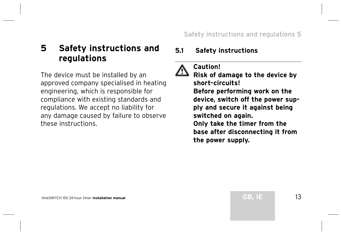### **5 Safety instructions and regulations**

The device must be installed by an approved company specialised in heating engineering, which is responsible for compliance with existing standards and regulations. We accept no liability for any damage caused by failure to observe these instructions.

#### **5.1 Safety instructions**

 **Caution!**

**Risk of damage to the device by short-circuits! Before performing work on the device, switch off the power supply and secure it against being switched on again. Only take the timer from the base after disconnecting it from** 

**the power supply.**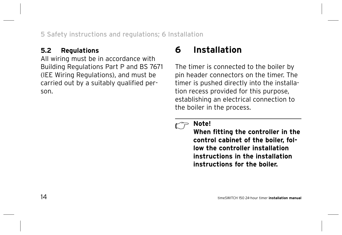#### **5.2 Regulations**

All wiring must be in accordance with Building Regulations Part P and BS 7671 (IEE Wiring Regulations), and must be carried out by a suitably qualified person.

# **6 Installation**

The timer is connected to the boiler by pin header connectors on the timer. The timer is pushed directly into the installation recess provided for this purpose, establishing an electrical connection to the boiler in the process.

#### **Note!**

**When fitting the controller in the control cabinet of the boiler, follow the controller installation instructions in the installation instructions for the boiler.**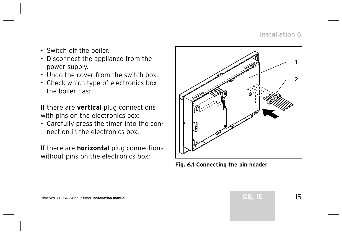#### Installation 6

- Switch off the boiler.
- Disconnect the appliance from the power supply.
- Undo the cover from the switch box.
- Check which type of electronics box the boiler has:

If there are **vertical** plug connections with pins on the electronics box:

• Carefully press the timer into the connection in the electronics box.

If there are **horizontal** plug connections without pins on the electronics box:



**Fig. 6.1 Connecting the pin header**

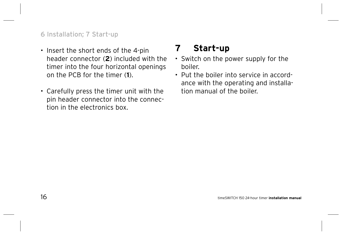#### 6 Installation; 7 Start-up

- Insert the short ends of the 4-pin header connector (**2**) included with the timer into the four horizontal openings on the PCB for the timer (**1**).
- Carefully press the timer unit with the pin header connector into the connection in the electronics box.

# **7 Start-up**

- Switch on the power supply for the boiler.
- Put the boiler into service in accordance with the operating and installation manual of the boiler.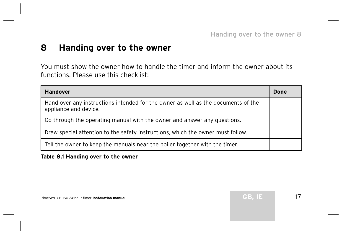### **8 Handing over to the owner**

You must show the owner how to handle the timer and inform the owner about its functions. Please use this checklist:

| <b>Handover</b>                                                                                            |  |  |
|------------------------------------------------------------------------------------------------------------|--|--|
| Hand over any instructions intended for the owner as well as the documents of the<br>appliance and device. |  |  |
| Go through the operating manual with the owner and answer any questions.                                   |  |  |
| Draw special attention to the safety instructions, which the owner must follow.                            |  |  |
| Tell the owner to keep the manuals near the boiler together with the timer.                                |  |  |

#### **Table 8.1 Handing over to the owner**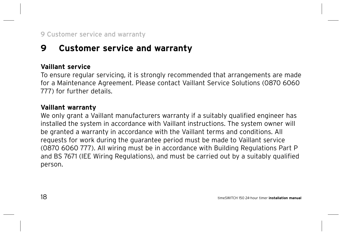# **9 Customer service and warranty**

#### **Vaillant service**

To ensure regular servicing, it is strongly recommended that arrangements are made for a Maintenance Agreement. Please contact Vaillant Service Solutions (0870 6060 777) for further details.

#### **Vaillant warranty**

We only grant a Vaillant manufacturers warranty if a suitably qualified engineer has installed the system in accordance with Vaillant instructions. The system owner will be granted a warranty in accordance with the Vaillant terms and conditions. All requests for work during the guarantee period must be made to Vaillant service (0870 6060 777). All wiring must be in accordance with Building Regulations Part P and BS 7671 (IEE Wiring Regulations), and must be carried out by a suitably qualified person.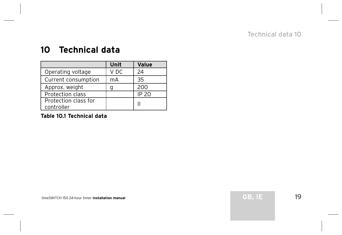#### Technical data 10

### **10 Technical data**

|                                    | Unit | Value        |
|------------------------------------|------|--------------|
| Operating voltage                  | V DC | 24           |
| Current consumption                | mA   | 35           |
| Approx. weight                     | g    | 200          |
| <b>Protection class</b>            |      | <b>IP 20</b> |
| Protection class for<br>controller |      |              |

**Table 10.1 Technical data**